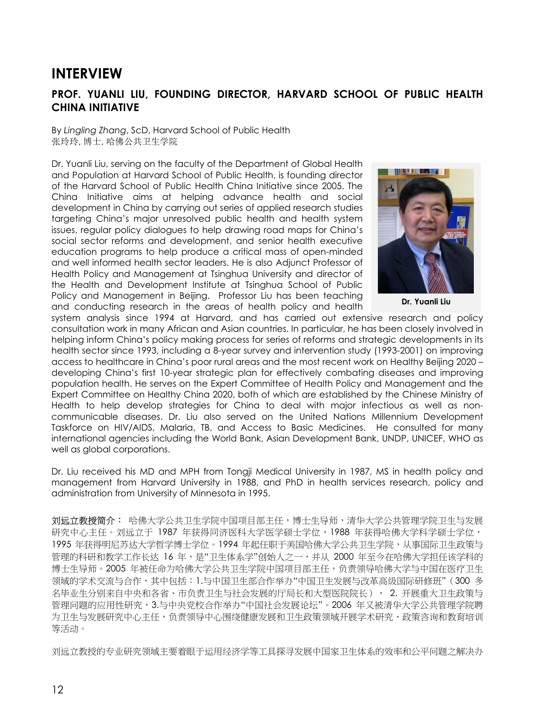## **INTERVIEW**

## **PROF. YUANLI LIU, FOUNDING DIRECTOR, HARVARD SCHOOL OF PUBLIC HEALTH CHINA INITIATIVE**

By *Lingling Zhang*, ScD, Harvard School of Public Health 张玲玲, 博士, 哈佛公共卫生学院

Dr. Yuanli Liu, serving on the faculty of the Department of Global Health and Population at Harvard School of Public Health, is founding director of the Harvard School of Public Health China Initiative since 2005. The China Initiative aims at helping advance health and social development in China by carrying out series of applied research studies targeting China's major unresolved public health and health system issues, regular policy dialogues to help drawing road maps for China's social sector reforms and development, and senior health executive education programs to help produce a critical mass of open-minded and well informed health sector leaders. He is also Adjunct Professor of Health Policy and Management at Tsinghua University and director of the Health and Development Institute at Tsinghua School of Public Policy and Management in Beijing. Professor Liu has been teaching and conducting research in the areas of health policy and health



**Dr. Yuanli Liu**

system analysis since 1994 at Harvard, and has carried out extensive research and policy consultation work in many African and Asian countries. In particular, he has been closely involved in helping inform China's policy making process for series of reforms and strategic developments in its health sector since 1993, including a 8-year survey and intervention study (1993-2001) on improving access to healthcare in China's poor rural areas and the most recent work on Healthy Beijing 2020 – developing China's first 10-year strategic plan for effectively combating diseases and improving population health. He serves on the Expert Committee of Health Policy and Management and the Expert Committee on Healthy China 2020, both of which are established by the Chinese Ministry of Health to help develop strategies for China to deal with major infectious as well as noncommunicable diseases. Dr. Liu also served on the United Nations Millennium Development Taskforce on HIV/AIDS, Malaria, TB, and Access to Basic Medicines. He consulted for many international agencies including the World Bank, Asian Development Bank, UNDP, UNICEF, WHO as well as global corporations.

Dr. Liu received his MD and MPH from Tongji Medical University in 1987, MS in health policy and management from Harvard University in 1988, and PhD in health services research, policy and administration from University of Minnesota in 1995.

**刘远立教授简介:** 哈佛大学公共卫生学院中国项目部主任,博士生导师,清华大学公共管理学院卫生与发展 研究中心主任。刘远立于 1987 年获得同济医科大学医学硕士学位,1988 年获得哈佛大学科学硕士学位, 1995 年获得明尼苏达大学哲学博士学位。1994 年起任职于美国哈佛大学公共卫生学院,从事国际卫生政策与 管理的科研和教学工作长达 16 年,是"卫生体系学"创始人之一,并从 2000 年至今在哈佛大学担任该学科的 博士生导师。2005 年被任命为哈佛大学公共卫生学院中国项目部主任,负责领导哈佛大学与中国在医疗卫生 领域的学术交流与合作,其中包括:1.与中国卫生部合作举办"中国卫生发展与改革高级国际研修班"(300 多 名毕业生分别来自中央和各省、市负责卫生与社会发展的厅局长和大型医院院长), 2. 开展重大卫生政策与 管理问题的应用性研究,3.与中央党校合作举办"中国社会发展论坛"。2006 年又被清华大学公共管理学院聘 为卫生与发展研究中心主任,负责领导中心围绕健康发展和卫生政策领域开展学术研究、政策咨询和教育培训 等活动。

刘远立教授的专业研究领域主要着眼于运用经济学等工具探寻发展中国家卫生体系的效率和公平问题之解决办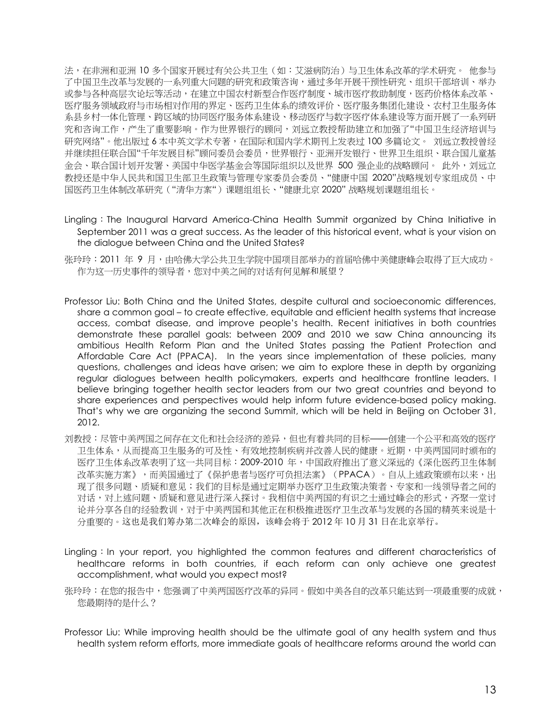法,在非洲和亚洲 10 多个国家开展过有关公共卫生(如:艾滋病防治)与卫生体系改革的学术研究。 他参与 了中国卫生改革与发展的一系列重大问题的研究和政策咨询,通过多年开展干预性研究、组织干部培训、举办 或参与各种高层次论坛等活动,在建立中国农村新型合作医疗制度、城市医疗救助制度,医药价格体系改革、 医疗服务领域政府与市场相对作用的界定、医药卫生体系的绩效评价、医疗服务集团化建设、农村卫生服务体 系县乡村一体化管理、跨区域的协同医疗服务体系建设、移动医疗与数字医疗体系建设等方面开展了一系列研 究和咨询工作,产生了重要影响。作为世界银行的顾问,刘远立教授帮助建立和加强了"中国卫生经济培训与 研究网络"。他出版过 6 本中英文学术专著,在国际和国内学术期刊上发表过 100 多篇论文。 刘远立教授曾经 并继续担任联合国"千年发展目标"顾问委员会委员,世界银行、亚洲开发银行、世界卫生组织、联合国儿童基 金会、联合国计划开发署、美国中华医学基金会等国际组织以及世界 500 强企业的战略顾问。 此外,刘远立 教授还是中华人民共和国卫生部卫生政策与管理专家委员会委员、"健康中国 2020"战略规划专家组成员、中 国医药卫生体制改革研究("清华方案")课题组组长、"健康北京 2020"战略规划课题组组长。

- Lingling: The Inaugural Harvard America-China Health Summit organized by China Initiative in September 2011 was a great success. As the leader of this historical event, what is your vision on the dialogue between China and the United States?
- 张玲玲:2011 年 9 月,由哈佛大学公共卫生学院中国项目部举办的首届哈佛中美健康峰会取得了巨大成功。 作为这一历史事件的领导者,您对中美之间的对话有何见解和展望?
- Professor Liu: Both China and the United States, despite cultural and socioeconomic differences, share a common goal – to create effective, equitable and efficient health systems that increase access, combat disease, and improve people's health. Recent initiatives in both countries demonstrate these parallel goals: between 2009 and 2010 we saw China announcing its ambitious Health Reform Plan and the United States passing the Patient Protection and Affordable Care Act (PPACA). In the years since implementation of these policies, many questions, challenges and ideas have arisen; we aim to explore these in depth by organizing regular dialogues between health policymakers, experts and healthcare frontline leaders. I believe bringing together health sector leaders from our two great countries and beyond to share experiences and perspectives would help inform future evidence-based policy making. That's why we are organizing the second Summit, which will be held in Beijing on October 31, 2012.
- 刘教授:尽管中美两国之间存在文化和社会经济的差异,但也有着共同的目标——创建一个公平和高效的医疗 卫生体系,从而提高卫生服务的可及性、有效地控制疾病并改善人民的健康。近期,中美两国同时颁布的 医疗卫生体系改革表明了这一共同目标:2009-2010 年,中国政府推出了意义深远的《深化医药卫生体制 改革实施方案》,而美国通过了《保护患者与医疗可负担法案》(PPACA)。自从上述政策颁布以来,出 现了很多问题、质疑和意见;我们的目标是通过定期举办医疗卫生政策决策者、专家和一线领导者之间的 对话,对上述问题、质疑和意见进行深入探讨。我相信中美两国的有识之士通过峰会的形式,齐聚一堂讨 论并分享各自的经验教训,对于中美两国和其他正在积极推进医疗卫生改革与发展的各国的精英来说是十 分重要的。这也是我们筹办第二次峰会的原因,该峰会将于 2012 年 10 月 31 日在北京举行。
- Lingling: In your report, you highlighted the common features and different characteristics of healthcare reforms in both countries, if each reform can only achieve one greatest accomplishment, what would you expect most?
- 张玲玲:在您的报告中,您强调了中美两国医疗改革的异同。假如中美各自的改革只能达到一项最重要的成就, 您最期待的是什么?
- Professor Liu: While improving health should be the ultimate goal of any health system and thus health system reform efforts, more immediate goals of healthcare reforms around the world can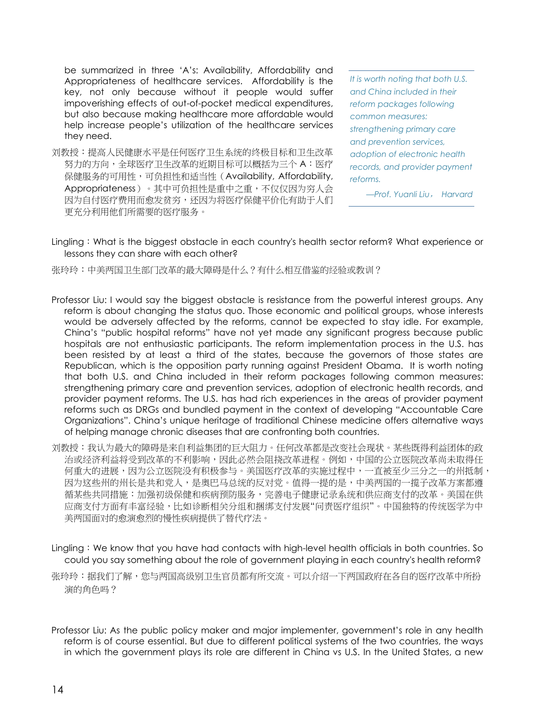be summarized in three 'A's: Availability, Affordability and Appropriateness of healthcare services. Affordability is the key, not only because without it people would suffer impoverishing effects of out-of-pocket medical expenditures, but also because making healthcare more affordable would help increase people's utilization of the healthcare services they need.

刘教授:提高人民健康水平是任何医疗卫生系统的终极目标和卫生改革 努力的方向,全球医疗卫生改革的近期目标可以概括为三个 A:医疗 保健服务的可用性,可负担性和适当性(Availability, Affordability, Appropriateness)。其中可负担性是重中之重,不仅仅因为穷人会 因为自付医疗费用而愈发贫穷,还因为将医疗保健平价化有助于人们 更充分利用他们所需要的医疗服务。

*It is worth noting that both U.S. and China included in their reform packages following common measures: strengthening primary care and prevention services, adoption of electronic health records, and provider payment reforms.*

*—Prof. Yuanli Liu*, *Harvard*

- Lingling: What is the biggest obstacle in each country's health sector reform? What experience or lessons they can share with each other?
- 张玲玲:中美两国卫生部门改革的最大障碍是什么?有什么相互借鉴的经验或教训?
- Professor Liu: I would say the biggest obstacle is resistance from the powerful interest groups. Any reform is about changing the status quo. Those economic and political groups, whose interests would be adversely affected by the reforms, cannot be expected to stay idle. For example, China's "public hospital reforms" have not yet made any significant progress because public hospitals are not enthusiastic participants. The reform implementation process in the U.S. has been resisted by at least a third of the states, because the governors of those states are Republican, which is the opposition party running against President Obama. It is worth noting that both U.S. and China included in their reform packages following common measures: strengthening primary care and prevention services, adoption of electronic health records, and provider payment reforms. The U.S. has had rich experiences in the areas of provider payment reforms such as DRGs and bundled payment in the context of developing "Accountable Care Organizations". China's unique heritage of traditional Chinese medicine offers alternative ways of helping manage chronic diseases that are confronting both countries.
- 刘教授:我认为最大的障碍是来自利益集团的巨大阻力。任何改革都是改变社会现状。某些既得利益团体的政 治或经济利益将受到改革的不利影响,因此必然会阻挠改革进程。例如,中国的公立医院改革尚未取得任 何重大的进展,因为公立医院没有积极参与。美国医疗改革的实施过程中,一直被至少三分之一的州抵制, 因为这些州的州长是共和党人,是奥巴马总统的反对党。值得一提的是,中美两国的一揽子改革方案都遵 循某些共同措施:加强初级保健和疾病预防服务,完善电子健康记录系统和供应商支付的改革。美国在供 应商支付方面有丰富经验,比如诊断相关分组和捆绑支付发展"问责医疗组织"。中国独特的传统医学为中 美两国面对的愈演愈烈的慢性疾病提供了替代疗法。
- Lingling: We know that you have had contacts with high-level health officials in both countries. So could you say something about the role of government playing in each country's health reform?
- 张玲玲:据我们了解,您与两国高级别卫生官员都有所交流。可以介绍一下两国政府在各自的医疗改革中所扮 演的角色吗?
- Professor Liu: As the public policy maker and major implementer, government's role in any health reform is of course essential. But due to different political systems of the two countries, the ways in which the government plays its role are different in China vs U.S. In the United States, a new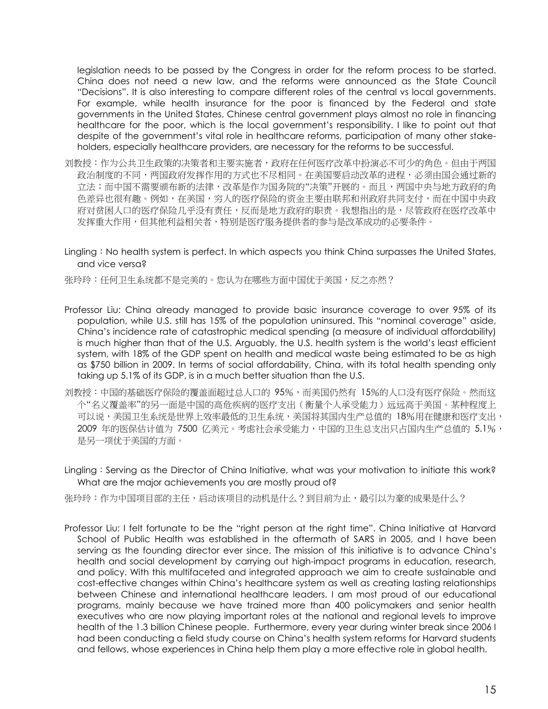legislation needs to be passed by the Congress in order for the reform process to be started. China does not need a new law, and the reforms were announced as the State Council "Decisions". It is also interesting to compare different roles of the central vs local governments. For example, while health insurance for the poor is financed by the Federal and state governments in the United States, Chinese central government plays almost no role in financing healthcare for the poor, which is the local government's responsibility. I like to point out that despite of the government's vital role in healthcare reforms, participation of many other stakeholders, especially healthcare providers, are necessary for the reforms to be successful.

- 刘教授:作为公共卫生政策的决策者和主要实施者,政府在任何医疗改革中扮演必不可少的角色。但由于两国 政治制度的不同,两国政府发挥作用的方式也不尽相同。在美国要启动改革的进程,必须由国会通过新的 立法;而中国不需要颁布新的法律,改革是作为国务院的"决策"开展的。而且,两国中央与地方政府的角 色差异也很有趣。例如,在美国,穷人的医疗保险的资金主要由联邦和州政府共同支付,而在中国中央政 府对贫困人口的医疗保险几乎没有责任,反而是地方政府的职责。我想指出的是,尽管政府在医疗改革中 发挥重大作用,但其他利益相关者,特别是医疗服务提供者的参与是改革成功的必要条件。
- Lingling: No health system is perfect. In which aspects you think China surpasses the United States, and vice versa?

张玲玲:任何卫生系统都不是完美的。您认为在哪些方面中国优于美国,反之亦然?

- Professor Liu: China already managed to provide basic insurance coverage to over 95% of its population, while U.S. still has 15% of the population uninsured. This "nominal coverage" aside, China's incidence rate of catastrophic medical spending (a measure of individual affordability) is much higher than that of the U.S. Arguably, the U.S. health system is the world's least efficient system, with 18% of the GDP spent on health and medical waste being estimated to be as high as \$750 billion in 2009. In terms of social affordability, China, with its total health spending only taking up 5.1% of its GDP, is in a much better situation than the U.S.
- 刘教授:中国的基础医疗保险的覆盖面超过总人口的 95%,而美国仍然有 15%的人口没有医疗保险。然而这 个"名义覆盖率"的另一面是中国的高危疾病的医疗支出(衡量个人承受能力)远远高于美国。某种程度上 可以说,美国卫生系统是世界上效率最低的卫生系统,美国将其国内生产总值的 18%用在健康和医疗支出, 2009 年的医保估计值为 7500 亿美元。考虑社会承受能力,中国的卫生总支出只占国内生产总值的 5.1%, 是另一项优于美国的方面。
- Lingling: Serving as the Director of China Initiative, what was your motivation to initiate this work? What are the major achievements you are mostly proud of?
- 张玲玲:作为中国项目部的主任,启动该项目的动机是什么?到目前为止,最引以为豪的成果是什么?
- Professor Liu: I felt fortunate to be the "right person at the right time". China Initiative at Harvard School of Public Health was established in the aftermath of SARS in 2005, and I have been serving as the founding director ever since. The mission of this initiative is to advance China's health and social development by carrying out high-impact programs in education, research, and policy. With this multifaceted and integrated approach we aim to create sustainable and cost-effective changes within China's healthcare system as well as creating lasting relationships between Chinese and international healthcare leaders. I am most proud of our educational programs, mainly because we have trained more than 400 policymakers and senior health executives who are now playing important roles at the national and regional levels to improve health of the 1.3 billion Chinese people. Furthermore, every year during winter break since 2006 I had been conducting a field study course on China's health system reforms for Harvard students and fellows, whose experiences in China help them play a more effective role in global health.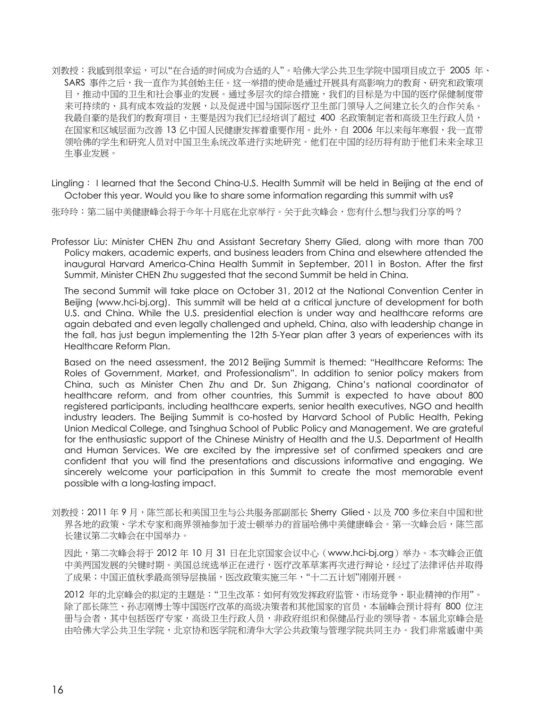- 刘教授:我感到很幸运,可以"在合适的时间成为合适的人"。哈佛大学公共卫生学院中国项目成立于 2005 年、 SARS 事件之后,我一直作为其创始主任。这一举措的使命是通过开展具有高影响力的教育、研究和政策项 目,推动中国的卫生和社会事业的发展。通过多层次的综合措施,我们的目标是为中国的医疗保健制度带 来可持续的、具有成本效益的发展,以及促进中国与国际医疗卫生部门领导人之间建立长久的合作关系。 我最自豪的是我们的教育项目,主要是因为我们已经培训了超过 400 名政策制定者和高级卫生行政人员, 在国家和区域层面为改善 13 亿中国人民健康发挥着重要作用。此外,自 2006 年以来每年寒假,我一直带 领哈佛的学生和研究人员对中国卫生系统改革进行实地研究。他们在中国的经历将有助于他们未来全球卫 生事业发展。
- Lingling: I learned that the Second China-U.S. Health Summit will be held in Beijing at the end of October this year. Would you like to share some information regarding this summit with us?

张玲玲:第二届中美健康峰会将于今年十月底在北京举行。关于此次峰会,您有什么想与我们分享的吗?

Professor Liu: Minister CHEN Zhu and Assistant Secretary Sherry Glied, along with more than 700 Policy makers, academic experts, and business leaders from China and elsewhere attended the inaugural Harvard America-China Health Summit in September, 2011 in Boston. After the first Summit, Minister CHEN Zhu suggested that the second Summit be held in China.

The second Summit will take place on October 31, 2012 at the National Convention Center in Beijing (www.hci-bj.org). This summit will be held at a critical juncture of development for both U.S. and China. While the U.S. presidential election is under way and healthcare reforms are again debated and even legally challenged and upheld, China, also with leadership change in the fall, has just begun implementing the 12th 5-Year plan after 3 years of experiences with its Healthcare Reform Plan.

Based on the need assessment, the 2012 Beijing Summit is themed: "Healthcare Reforms: The Roles of Government, Market, and Professionalism". In addition to senior policy makers from China, such as Minister Chen Zhu and Dr. Sun Zhigang, China's national coordinator of healthcare reform, and from other countries, this Summit is expected to have about 800 registered participants, including healthcare experts, senior health executives, NGO and health industry leaders. The Beijing Summit is co-hosted by Harvard School of Public Health, Peking Union Medical College, and Tsinghua School of Public Policy and Management. We are grateful for the enthusiastic support of the Chinese Ministry of Health and the U.S. Department of Health and Human Services. We are excited by the impressive set of confirmed speakers and are confident that you will find the presentations and discussions informative and engaging. We sincerely welcome your participation in this Summit to create the most memorable event possible with a long-lasting impact.

刘教授:2011 年 9 月,陈竺部长和美国卫生与公共服务部副部长 Sherry Glied、以及 700 多位来自中国和世 界各地的政策、学术专家和商界领袖参加于波士顿举办的首届哈佛中美健康峰会。第一次峰会后,陈竺部 长建议第二次峰会在中国举办。

因此,第二次峰会将于 2012 年 10 月 31 日在北京国家会议中心 (www.hci-bj.org) 举办。本次峰会正值 中美两国发展的关键时期。美国总统选举正在进行,医疗改革草案再次进行辩论,经过了法律评估并取得 了成果;中国正值秋季最高领导层换届,医改政策实施三年,"十二五计划"刚刚开展。

2012 年的北京峰会的拟定的主题是:"卫生改革:如何有效发挥政府监管、市场竞争、职业精神的作用"。 除了部长陈竺、孙志刚博士等中国医疗改革的高级决策者和其他国家的官员,本届峰会预计将有 800 位注 册与会者,其中包括医疗专家,高级卫生行政人员,非政府组织和保健品行业的领导者。本届北京峰会是 由哈佛大学公共卫生学院,北京协和医学院和清华大学公共政策与管理学院共同主办。我们非常感谢中美